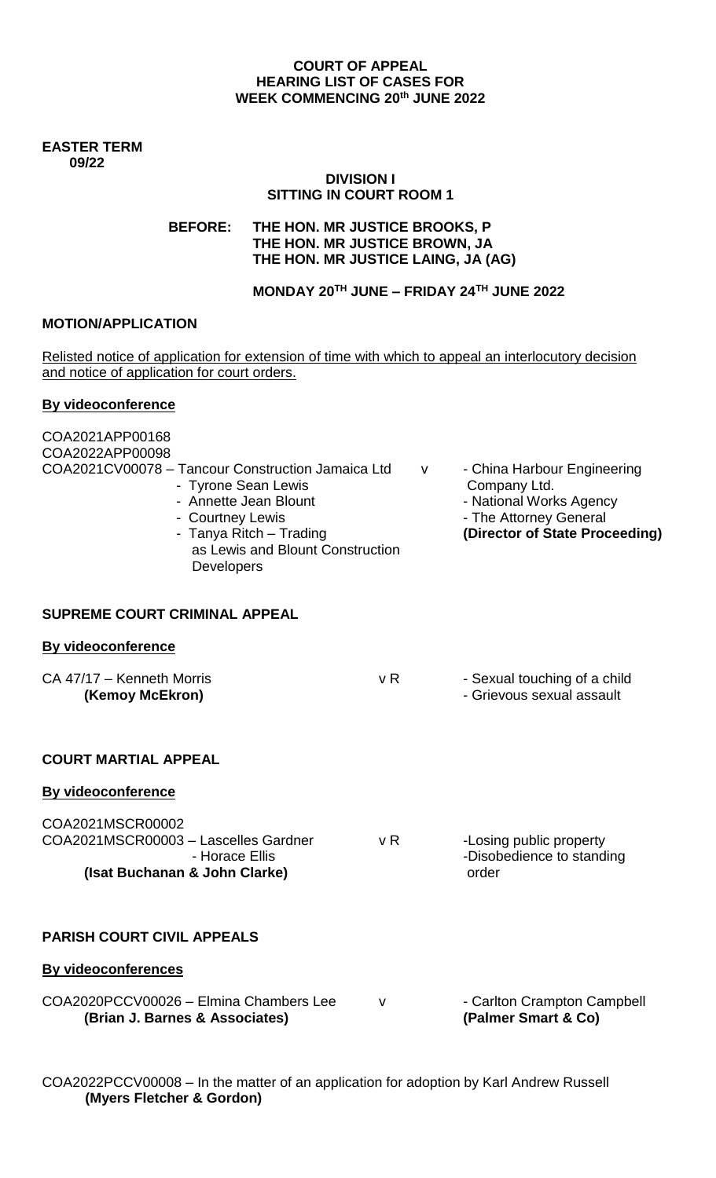## **COURT OF APPEAL HEARING LIST OF CASES FOR WEEK COMMENCING 20th JUNE 2022**

#### **EASTER TERM 09/22**

#### **DIVISION I SITTING IN COURT ROOM 1**

**BEFORE: THE HON. MR JUSTICE BROOKS, P THE HON. MR JUSTICE BROWN, JA THE HON. MR JUSTICE LAING, JA (AG)** 

**MONDAY 20TH JUNE – FRIDAY 24TH JUNE 2022**

## **MOTION/APPLICATION**

Relisted notice of application for extension of time with which to appeal an interlocutory decision and notice of application for court orders.

## **By videoconference**

| COA2021APP00168<br>COA2022APP00098<br>COA2021CV00078 - Tancour Construction Jamaica Ltd<br>- Tyrone Sean Lewis<br>- Annette Jean Blount<br>- Courtney Lewis<br>- Tanya Ritch – Trading<br>as Lewis and Blount Construction<br><b>Developers</b> |     | V | - China Harbour Engineering<br>Company Ltd.<br>- National Works Agency<br>- The Attorney General<br>(Director of State Proceeding) |
|-------------------------------------------------------------------------------------------------------------------------------------------------------------------------------------------------------------------------------------------------|-----|---|------------------------------------------------------------------------------------------------------------------------------------|
| SUPREME COURT CRIMINAL APPEAL                                                                                                                                                                                                                   |     |   |                                                                                                                                    |
| <b>By videoconference</b>                                                                                                                                                                                                                       |     |   |                                                                                                                                    |
| CA 47/17 - Kenneth Morris<br>(Kemoy McEkron)                                                                                                                                                                                                    | v R |   | - Sexual touching of a child<br>- Grievous sexual assault                                                                          |
| <b>COURT MARTIAL APPEAL</b>                                                                                                                                                                                                                     |     |   |                                                                                                                                    |
| <b>By videoconference</b>                                                                                                                                                                                                                       |     |   |                                                                                                                                    |
| COA2021MSCR00002<br>COA2021MSCR00003 - Lascelles Gardner<br>- Horace Ellis                                                                                                                                                                      | v R |   | -Losing public property<br>-Disobedience to standing                                                                               |
| (Isat Buchanan & John Clarke)                                                                                                                                                                                                                   |     |   | order                                                                                                                              |
| <b>PARISH COURT CIVIL APPEALS</b>                                                                                                                                                                                                               |     |   |                                                                                                                                    |
| <b>By videoconferences</b>                                                                                                                                                                                                                      |     |   |                                                                                                                                    |
| COA2020PCCV00026 - Elmina Chambers Lee<br>(Brian J. Barnes & Associates)                                                                                                                                                                        | v   |   | - Carlton Crampton Campbell<br>(Palmer Smart & Co)                                                                                 |

COA2022PCCV00008 – In the matter of an application for adoption by Karl Andrew Russell **(Myers Fletcher & Gordon)**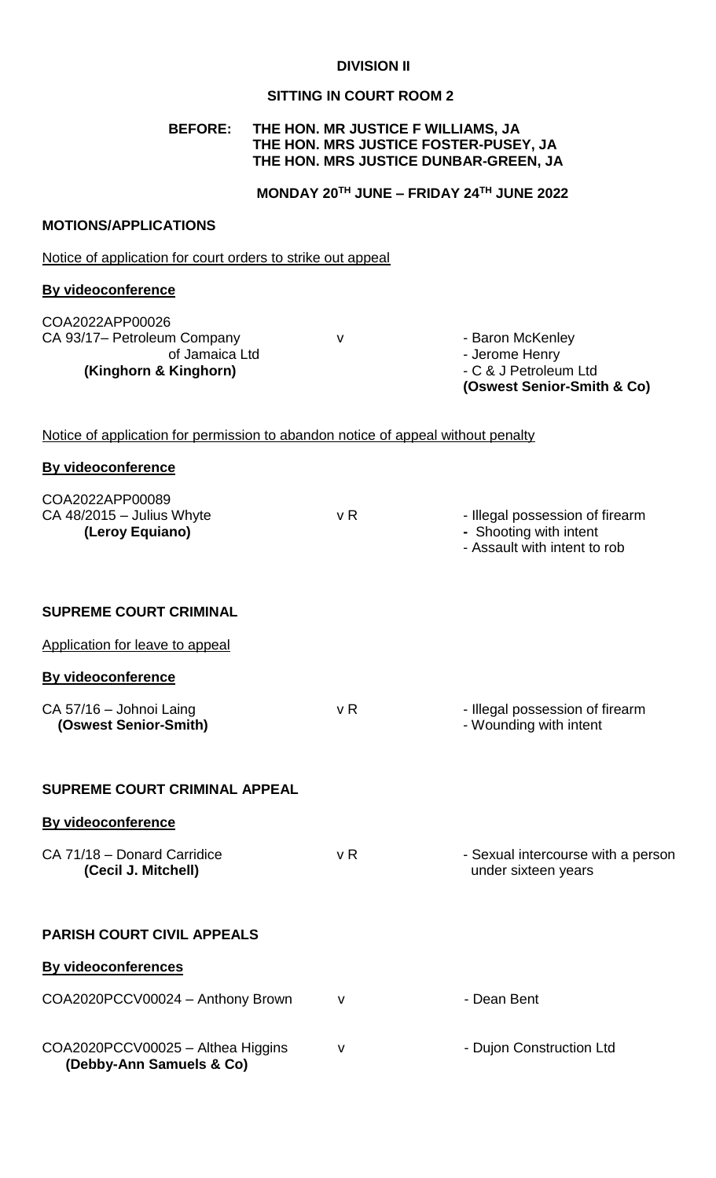## **DIVISION II**

# **SITTING IN COURT ROOM 2**

# **BEFORE: THE HON. MR JUSTICE F WILLIAMS, JA THE HON. MRS JUSTICE FOSTER-PUSEY, JA THE HON. MRS JUSTICE DUNBAR-GREEN, JA**

## **MONDAY 20TH JUNE – FRIDAY 24TH JUNE 2022**

## **MOTIONS/APPLICATIONS**

Notice of application for court orders to strike out appeal

#### **By videoconference**

COA2022APP00026 CA 93/17- Petroleum Company v v can be a Baron McKenley **(Kinghorn & Kinghorn)** 

of Jamaica Ltd<br> **Kinghorn)** Function C & J Petroleum Ltd **(Oswest Senior-Smith & Co)**

## Notice of application for permission to abandon notice of appeal without penalty

| <b>By videoconference</b>                                         |                |                                                                                           |
|-------------------------------------------------------------------|----------------|-------------------------------------------------------------------------------------------|
| COA2022APP00089<br>$CA$ 48/2015 - Julius Whyte<br>(Leroy Equiano) | v R            | - Illegal possession of firearm<br>- Shooting with intent<br>- Assault with intent to rob |
| <b>SUPREME COURT CRIMINAL</b>                                     |                |                                                                                           |
| Application for leave to appeal                                   |                |                                                                                           |
| <b>By videoconference</b>                                         |                |                                                                                           |
| CA 57/16 - Johnoi Laing<br>(Oswest Senior-Smith)                  | v <sub>R</sub> | - Illegal possession of firearm<br>- Wounding with intent                                 |
| <b>SUPREME COURT CRIMINAL APPEAL</b>                              |                |                                                                                           |
| By videoconference                                                |                |                                                                                           |
| CA 71/18 - Donard Carridice<br>(Cecil J. Mitchell)                | v <sub>R</sub> | - Sexual intercourse with a person<br>under sixteen years                                 |
| <b>PARISH COURT CIVIL APPEALS</b>                                 |                |                                                                                           |
| <b>By videoconferences</b>                                        |                |                                                                                           |
| COA2020PCCV00024 - Anthony Brown                                  | $\mathsf{V}$   | - Dean Bent                                                                               |
| COA2020PCCV00025 - Althea Higgins<br>(Debby-Ann Samuels & Co)     | $\mathsf{V}$   | - Dujon Construction Ltd                                                                  |